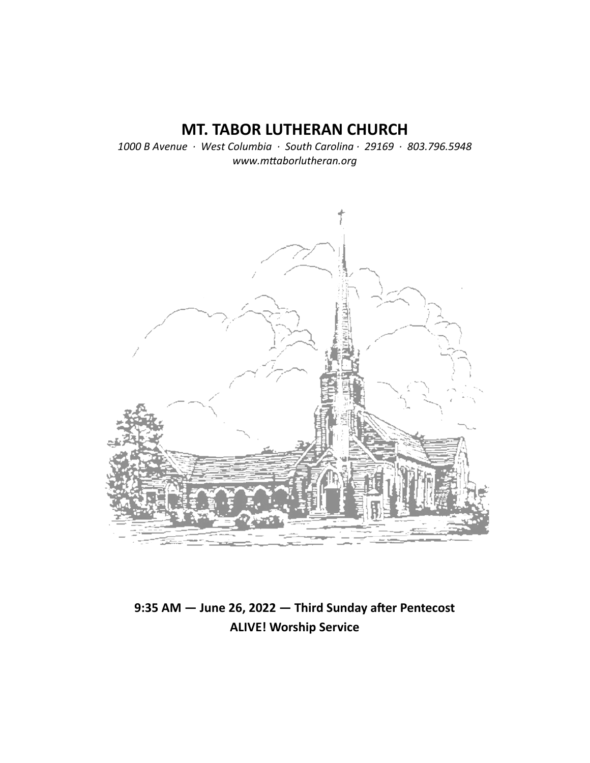# **MT. TABOR LUTHERAN CHURCH**

*1000 B Avenue · West Columbia · South Carolina · 29169 · 803.796.5948 www.mƩaborlutheran.org* 



9:35 AM - June 26, 2022 - Third Sunday after Pentecost **ALIVE! Worship Service**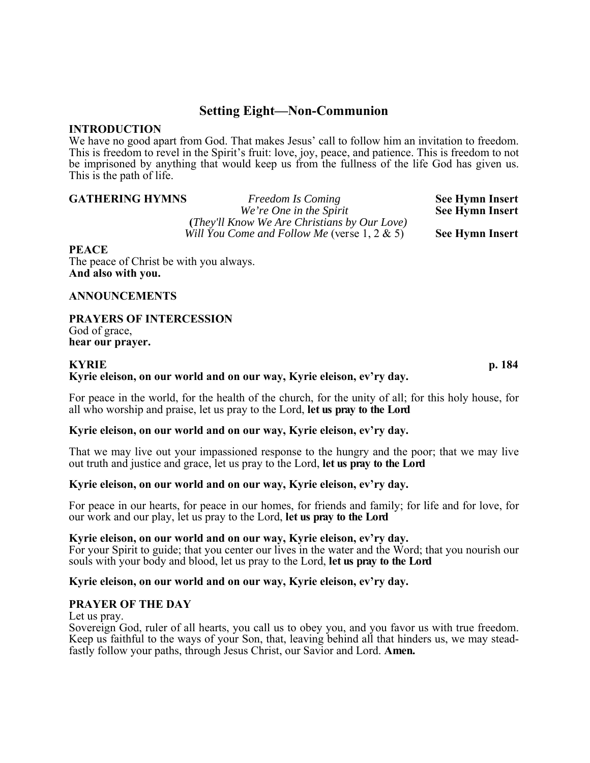## **Setting Eight—Non-Communion**

### **INTRODUCTION**

We have no good apart from God. That makes Jesus' call to follow him an invitation to freedom. This is freedom to revel in the Spirit's fruit: love, joy, peace, and patience. This is freedom to not be imprisoned by anything that would keep us from the fullness of the life God has given us. This is the path of life.

**GATHERING HYMNS** *Freedom Is Coming* **See Hymn Insert** *We're One in the Spirit* See Hymn Insert  **(***They'll Know We Are Christians by Our Love) Will You Come and Follow Me* (verse 1, 2 & 5) **See Hymn Insert** 

#### **PEACE**

The peace of Christ be with you always. **And also with you.** 

#### **ANNOUNCEMENTS**

### **PRAYERS OF INTERCESSION**

God of grace, **hear our prayer.**

### **KYRIE p. 184**

### **Kyrie eleison, on our world and on our way, Kyrie eleison, ev'ry day.**

For peace in the world, for the health of the church, for the unity of all; for this holy house, for all who worship and praise, let us pray to the Lord, **let us pray to the Lord**

### **Kyrie eleison, on our world and on our way, Kyrie eleison, ev'ry day.**

That we may live out your impassioned response to the hungry and the poor; that we may live out truth and justice and grace, let us pray to the Lord, **let us pray to the Lord** 

#### **Kyrie eleison, on our world and on our way, Kyrie eleison, ev'ry day.**

For peace in our hearts, for peace in our homes, for friends and family; for life and for love, for our work and our play, let us pray to the Lord, **let us pray to the Lord**

#### **Kyrie eleison, on our world and on our way, Kyrie eleison, ev'ry day.**

For your Spirit to guide; that you center our lives in the water and the Word; that you nourish our souls with your body and blood, let us pray to the Lord, **let us pray to the Lord**

#### **Kyrie eleison, on our world and on our way, Kyrie eleison, ev'ry day.**

#### **PRAYER OF THE DAY**

Let us pray.

Sovereign God, ruler of all hearts, you call us to obey you, and you favor us with true freedom. Keep us faithful to the ways of your Son, that, leaving behind all that hinders us, we may steadfastly follow your paths, through Jesus Christ, our Savior and Lord. **Amen.**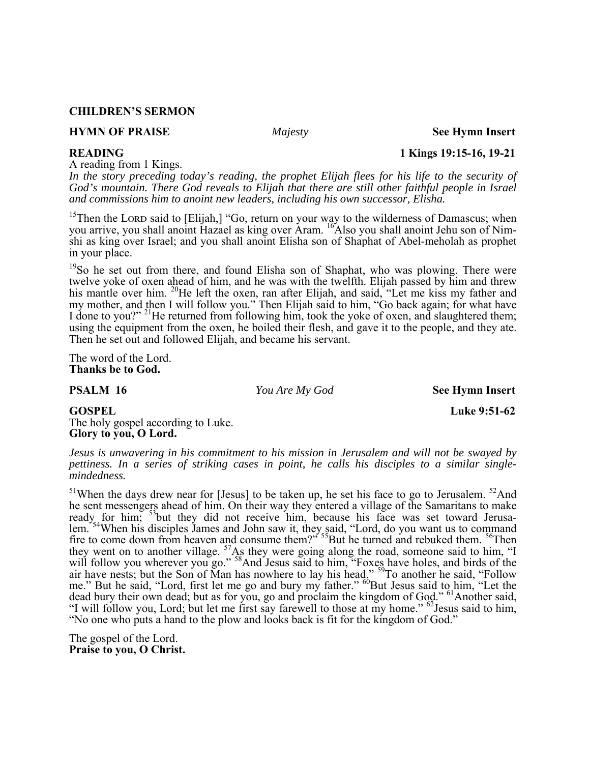#### **CHILDREN'S SERMON**

#### **HYMN OF PRAISE** *Majesty* **See Hymn Insert**

A reading from 1 Kings.

*In the story preceding today's reading, the prophet Elijah flees for his life to the security of God's mountain. There God reveals to Elijah that there are still other faithful people in Israel and commissions him to anoint new leaders, including his own successor, Elisha.* 

<sup>15</sup>Then the LORD said to [Elijah,] "Go, return on your way to the wilderness of Damascus; when you arrive, you shall anoint Hazael as king over Aram. <sup>16</sup>Also you shall anoint Jehu son of Nimshi as king over Israel; and you shall anoint Elisha son of Shaphat of Abel-meholah as prophet in your place.

<sup>19</sup>So he set out from there, and found Elisha son of Shaphat, who was plowing. There were twelve yoke of oxen ahead of him, and he was with the twelfth. Elijah passed by him and threw his mantle over him. <sup>20</sup>He left the oxen, ran after Elijah, and said, "Let me kiss my father and my mother, and then I will follow you." Then Elijah said to him, "Go back again; for what have I done to you?" <sup>21</sup>He returned from following him, took the yoke of oxen, and slaughtered them; using the equipment from the oxen, he boiled their flesh, and gave it to the people, and they ate. Then he set out and followed Elijah, and became his servant.

The word of the Lord. **Thanks be to God.** 

**PSALM 16** *You Are My God* **See Hymn Insert** 

## **GOSPEL** Luke 9:51-62

The holy gospel according to Luke. **Glory to you, O Lord.** 

*Jesus is unwavering in his commitment to his mission in Jerusalem and will not be swayed by pettiness. In a series of striking cases in point, he calls his disciples to a similar singlemindedness.* 

 $51$ When the days drew near for [Jesus] to be taken up, he set his face to go to Jerusalem.  $52$ And he sent messengers ahead of him. On their way they entered a village of the Samaritans to make ready for him; <sup>53</sup>but they did not receive him, because his face was set toward Jerusalem.<sup>354</sup>When his disciples James and John saw it, they said, "Lord, do you want us to command fire to come down from heaven and consume them?"<sup>55</sup>But he turned and rebuked them. <sup>56</sup>Then they went on to another village.  $57\text{As}$  they were going along the road, someone said to him, "I will follow you wherever you go." <sup>58</sup>And Jesus said to him, "Foxes have holes, and birds of the air have nests; but the Son of Man has nowhere to lay his head." <sup>59</sup>To another he said, "Follow me." But he said, "Lord, first let me go and bury my father." <sup>60</sup>But Jesus said to him, "Let the dead bury their own dead; but as for you, go and proclaim the kingdom of God." <sup>61</sup>Another said, "I will follow you, Lord; but let me first say farewell to those at my home." <sup>62</sup>Jesus said to him, "No one who puts a hand to the plow and looks back is fit for the kingdom of God."

The gospel of the Lord. **Praise to you, O Christ.** 

**READING 1 Kings 19:15-16, 19-21**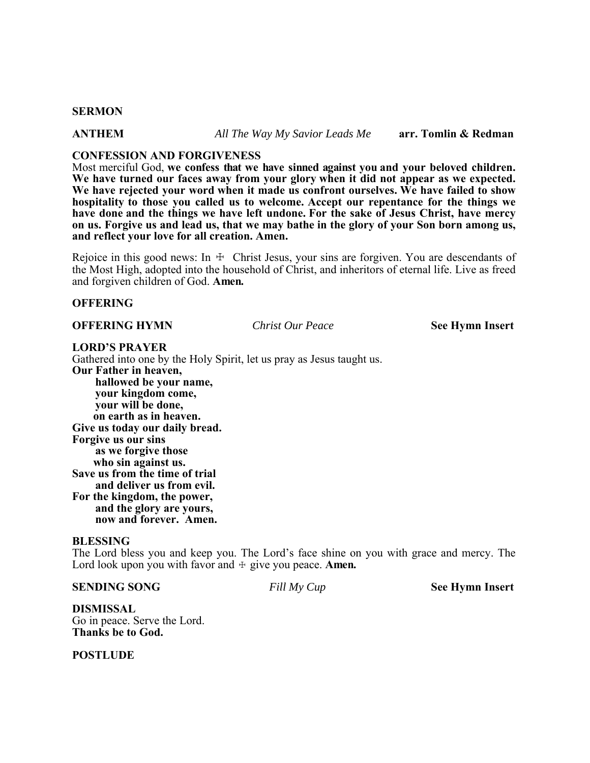#### **SERMON**

**ANTHEM** *All The Way My Savior Leads Me* **arr. Tomlin & Redman** 

#### **CONFESSION AND FORGIVENESS**

Most merciful God, **we confess that we have sinned against you and your beloved children. We have turned our faces away from your glory when it did not appear as we expected. We have rejected your word when it made us confront ourselves. We have failed to show hospitality to those you called us to welcome. Accept our repentance for the things we have done and the things we have left undone. For the sake of Jesus Christ, have mercy on us. Forgive us and lead us, that we may bathe in the glory of your Son born among us, and reflect your love for all creation. Amen.** 

Rejoice in this good news: In  $\pm$  Christ Jesus, your sins are forgiven. You are descendants of the Most High, adopted into the household of Christ, and inheritors of eternal life. Live as freed and forgiven children of God. **Amen.**

#### **OFFERING**

#### **OFFERING HYMN** *Christ Our Peace* **See Hymn Insert**

#### **LORD'S PRAYER**

Gathered into one by the Holy Spirit, let us pray as Jesus taught us. **Our Father in heaven, hallowed be your name, your kingdom come, your will be done, on earth as in heaven. Give us today our daily bread. Forgive us our sins as we forgive those who sin against us. Save us from the time of trial and deliver us from evil. For the kingdom, the power, and the glory are yours, now and forever. Amen.** 

#### **BLESSING**

The Lord bless you and keep you. The Lord's face shine on you with grace and mercy. The Lord look upon you with favor and  $\pm$  give you peace. **Amen.** 

#### **SENDING SONG** *Fill My Cup* **See Hymn Insert**

**DISMISSAL**  Go in peace. Serve the Lord. **Thanks be to God.**

**POSTLUDE**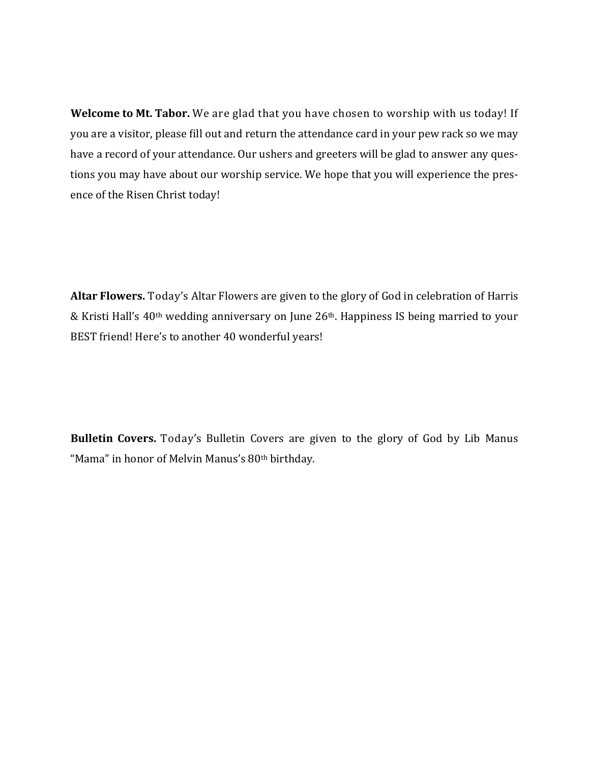**Welcome to Mt. Tabor.** We are glad that you have chosen to worship with us today! If you are a visitor, please fill out and return the attendance card in your pew rack so we may have a record of your attendance. Our ushers and greeters will be glad to answer any questions you may have about our worship service. We hope that you will experience the presence of the Risen Christ today!

**Altar Flowers.** Today's Altar Flowers are given to the glory of God in celebration of Harris & Kristi Hall's 40th wedding anniversary on June 26th. Happiness IS being married to your BEST friend! Here's to another 40 wonderful years!

**Bulletin Covers.** Today's Bulletin Covers are given to the glory of God by Lib Manus "Mama" in honor of Melvin Manus's 80th birthday.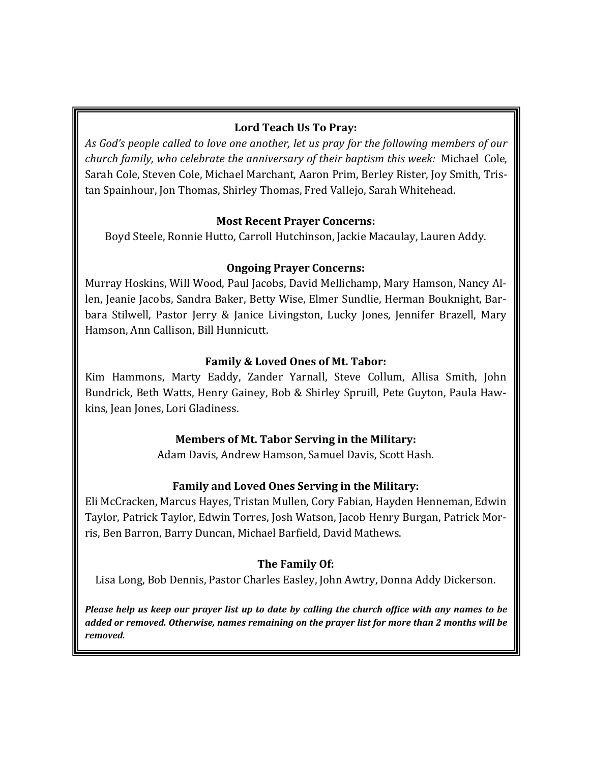## **Lord Teach Us To Pray:**

*As God's people called to love one another, let us pray for the following members of our church family, who celebrate the anniversary of their baptism this week:* Michael Cole, Sarah Cole, Steven Cole, Michael Marchant, Aaron Prim, Berley Rister, Joy Smith, Tristan Spainhour, Jon Thomas, Shirley Thomas, Fred Vallejo, Sarah Whitehead.

## **Most Recent Prayer Concerns:**

Boyd Steele, Ronnie Hutto, Carroll Hutchinson, Jackie Macaulay, Lauren Addy.

## **Ongoing Prayer Concerns:**

Murray Hoskins, Will Wood, Paul Jacobs, David Mellichamp, Mary Hamson, Nancy Allen, Jeanie Jacobs, Sandra Baker, Betty Wise, Elmer Sundlie, Herman Bouknight, Barbara Stilwell, Pastor Jerry & Janice Livingston, Lucky Jones, Jennifer Brazell, Mary Hamson, Ann Callison, Bill Hunnicutt.

## **Family & Loved Ones of Mt. Tabor:**

Kim Hammons, Marty Eaddy, Zander Yarnall, Steve Collum, Allisa Smith, John Bundrick, Beth Watts, Henry Gainey, Bob & Shirley Spruill, Pete Guyton, Paula Hawkins, Jean Jones, Lori Gladiness.

## **Members of Mt. Tabor Serving in the Military:**

Adam Davis, Andrew Hamson, Samuel Davis, Scott Hash.

## **Family and Loved Ones Serving in the Military:**

Eli McCracken, Marcus Hayes, Tristan Mullen, Cory Fabian, Hayden Henneman, Edwin Taylor, Patrick Taylor, Edwin Torres, Josh Watson, Jacob Henry Burgan, Patrick Morris, Ben Barron, Barry Duncan, Michael Barfield, David Mathews.

## **The Family Of:**

Lisa Long, Bob Dennis, Pastor Charles Easley, John Awtry, Donna Addy Dickerson.

Please help us keep our prayer list up to date by calling the church office with any names to be *added or removed. Otherwise, names remaining on the prayer list for more than 2 months will be removed.*